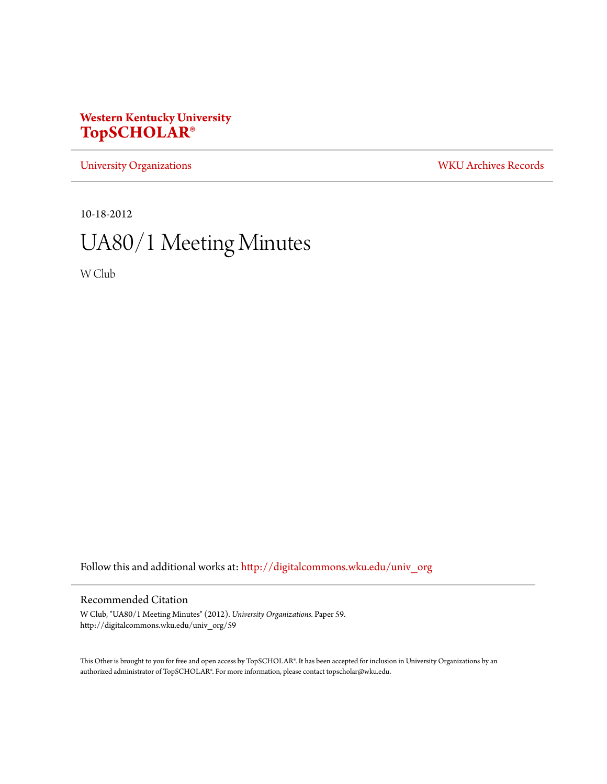## **Western Kentucky University [TopSCHOLAR®](http://digitalcommons.wku.edu?utm_source=digitalcommons.wku.edu%2Funiv_org%2F59&utm_medium=PDF&utm_campaign=PDFCoverPages)**

[University Organizations](http://digitalcommons.wku.edu/univ_org?utm_source=digitalcommons.wku.edu%2Funiv_org%2F59&utm_medium=PDF&utm_campaign=PDFCoverPages) [WKU Archives Records](http://digitalcommons.wku.edu/dlsc_ua_records?utm_source=digitalcommons.wku.edu%2Funiv_org%2F59&utm_medium=PDF&utm_campaign=PDFCoverPages)

10-18-2012

# UA80/1 Meeting Minutes

W Club

Follow this and additional works at: [http://digitalcommons.wku.edu/univ\\_org](http://digitalcommons.wku.edu/univ_org?utm_source=digitalcommons.wku.edu%2Funiv_org%2F59&utm_medium=PDF&utm_campaign=PDFCoverPages)

### Recommended Citation

W Club, "UA80/1 Meeting Minutes" (2012). *University Organizations.* Paper 59. http://digitalcommons.wku.edu/univ\_org/59

This Other is brought to you for free and open access by TopSCHOLAR®. It has been accepted for inclusion in University Organizations by an authorized administrator of TopSCHOLAR®. For more information, please contact topscholar@wku.edu.